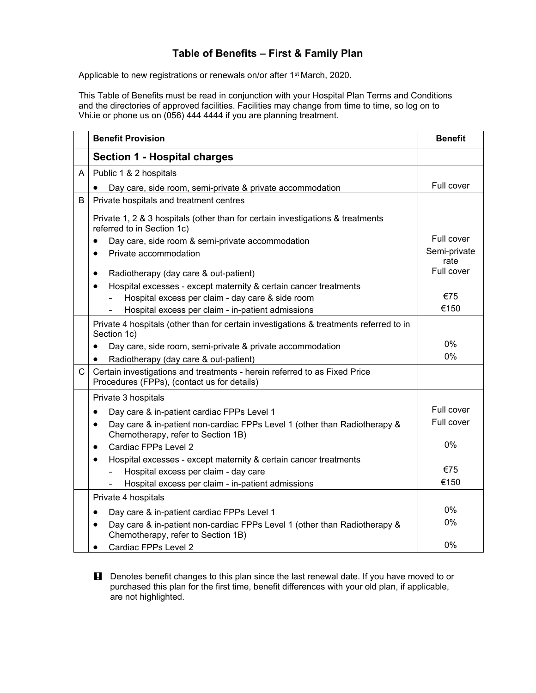## **Table of Benefits – First & Family Plan**

Applicable to new registrations or renewals on/or after 1<sup>st</sup> March, 2020.

This Table of Benefits must be read in conjunction with your Hospital Plan Terms and Conditions and the directories of approved facilities. Facilities may change from time to time, so log on to Vhi.ie or phone us on (056) 444 4444 if you are planning treatment.

|   | <b>Benefit Provision</b>                                                                                                     | <b>Benefit</b>       |
|---|------------------------------------------------------------------------------------------------------------------------------|----------------------|
|   | <b>Section 1 - Hospital charges</b>                                                                                          |                      |
| A | Public 1 & 2 hospitals                                                                                                       |                      |
|   | Day care, side room, semi-private & private accommodation                                                                    | Full cover           |
| B | Private hospitals and treatment centres                                                                                      |                      |
|   | Private 1, 2 & 3 hospitals (other than for certain investigations & treatments<br>referred to in Section 1c)                 |                      |
|   | Day care, side room & semi-private accommodation<br>$\bullet$                                                                | Full cover           |
|   | Private accommodation<br>$\bullet$                                                                                           | Semi-private<br>rate |
|   | Radiotherapy (day care & out-patient)<br>$\bullet$                                                                           | Full cover           |
|   | Hospital excesses - except maternity & certain cancer treatments<br>$\bullet$                                                |                      |
|   | Hospital excess per claim - day care & side room                                                                             | €75                  |
|   | Hospital excess per claim - in-patient admissions                                                                            | €150                 |
|   | Private 4 hospitals (other than for certain investigations & treatments referred to in<br>Section 1c)                        |                      |
|   | Day care, side room, semi-private & private accommodation<br>$\bullet$                                                       | 0%                   |
|   | Radiotherapy (day care & out-patient)<br>$\bullet$                                                                           | 0%                   |
| C | Certain investigations and treatments - herein referred to as Fixed Price<br>Procedures (FPPs), (contact us for details)     |                      |
|   | Private 3 hospitals                                                                                                          |                      |
|   | Day care & in-patient cardiac FPPs Level 1<br>$\bullet$                                                                      | Full cover           |
|   | Day care & in-patient non-cardiac FPPs Level 1 (other than Radiotherapy &<br>$\bullet$<br>Chemotherapy, refer to Section 1B) | Full cover           |
|   | Cardiac FPPs Level 2<br>$\bullet$                                                                                            | 0%                   |
|   | Hospital excesses - except maternity & certain cancer treatments<br>$\bullet$                                                |                      |
|   | Hospital excess per claim - day care                                                                                         | €75                  |
|   | Hospital excess per claim - in-patient admissions                                                                            | €150                 |
|   | Private 4 hospitals                                                                                                          |                      |
|   | Day care & in-patient cardiac FPPs Level 1<br>$\bullet$                                                                      | $0\%$                |
|   | Day care & in-patient non-cardiac FPPs Level 1 (other than Radiotherapy &<br>$\bullet$<br>Chemotherapy, refer to Section 1B) | 0%                   |
|   | Cardiac FPPs Level 2                                                                                                         | $0\%$                |

**H** Denotes benefit changes to this plan since the last renewal date. If you have moved to or purchased this plan for the first time, benefit differences with your old plan, if applicable, are not highlighted.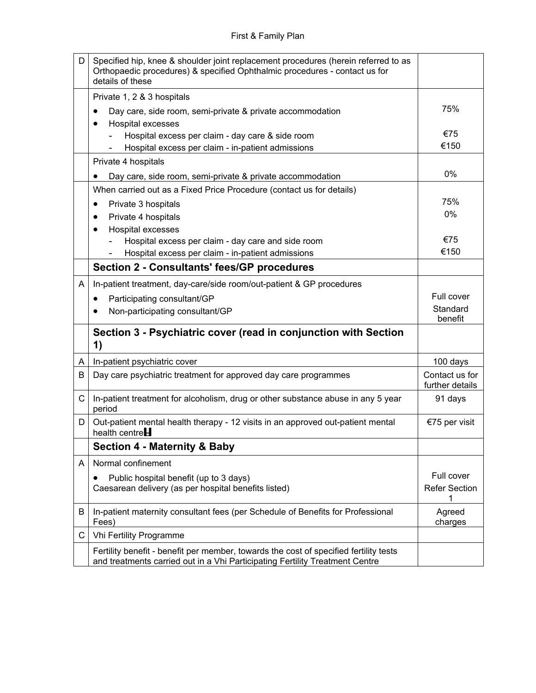| D            | Specified hip, knee & shoulder joint replacement procedures (herein referred to as<br>Orthopaedic procedures) & specified Ophthalmic procedures - contact us for<br>details of these |                                   |
|--------------|--------------------------------------------------------------------------------------------------------------------------------------------------------------------------------------|-----------------------------------|
|              | Private 1, 2 & 3 hospitals<br>Day care, side room, semi-private & private accommodation                                                                                              | 75%                               |
|              | Hospital excesses<br>Hospital excess per claim - day care & side room                                                                                                                | €75                               |
|              | Hospital excess per claim - in-patient admissions                                                                                                                                    | €150                              |
|              | Private 4 hospitals                                                                                                                                                                  |                                   |
|              | Day care, side room, semi-private & private accommodation                                                                                                                            | 0%                                |
|              | When carried out as a Fixed Price Procedure (contact us for details)                                                                                                                 |                                   |
|              | Private 3 hospitals<br>٠                                                                                                                                                             | 75%                               |
|              | Private 4 hospitals                                                                                                                                                                  | 0%                                |
|              | Hospital excesses<br>$\bullet$                                                                                                                                                       |                                   |
|              | Hospital excess per claim - day care and side room                                                                                                                                   | €75<br>€150                       |
|              | Hospital excess per claim - in-patient admissions                                                                                                                                    |                                   |
|              | <b>Section 2 - Consultants' fees/GP procedures</b>                                                                                                                                   |                                   |
| A            | In-patient treatment, day-care/side room/out-patient & GP procedures                                                                                                                 |                                   |
|              | Participating consultant/GP<br>٠                                                                                                                                                     | Full cover                        |
|              | Non-participating consultant/GP                                                                                                                                                      | Standard<br>benefit               |
|              | Section 3 - Psychiatric cover (read in conjunction with Section<br>1)                                                                                                                |                                   |
| A            | In-patient psychiatric cover                                                                                                                                                         | 100 days                          |
| B            | Day care psychiatric treatment for approved day care programmes                                                                                                                      | Contact us for<br>further details |
| $\mathsf{C}$ | In-patient treatment for alcoholism, drug or other substance abuse in any 5 year<br>period                                                                                           | 91 days                           |
| D            | Out-patient mental health therapy - 12 visits in an approved out-patient mental<br>health centre $H$                                                                                 | €75 per visit                     |
|              | <b>Section 4 - Maternity &amp; Baby</b>                                                                                                                                              |                                   |
| A            | Normal confinement                                                                                                                                                                   |                                   |
|              | Public hospital benefit (up to 3 days)                                                                                                                                               | Full cover                        |
|              | Caesarean delivery (as per hospital benefits listed)                                                                                                                                 | <b>Refer Section</b>              |
| B            | In-patient maternity consultant fees (per Schedule of Benefits for Professional<br>Fees)                                                                                             | Agreed<br>charges                 |
| С            | Vhi Fertility Programme                                                                                                                                                              |                                   |
|              | Fertility benefit - benefit per member, towards the cost of specified fertility tests<br>and treatments carried out in a Vhi Participating Fertility Treatment Centre                |                                   |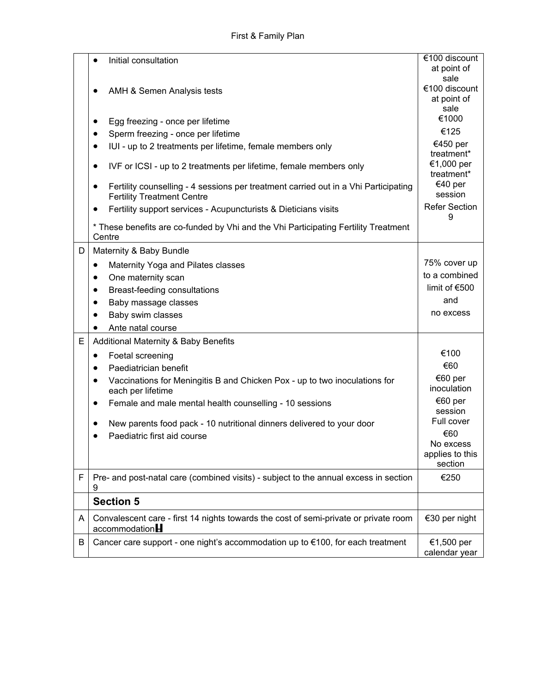|   | Initial consultation                                                                                                     | €100 discount                          |
|---|--------------------------------------------------------------------------------------------------------------------------|----------------------------------------|
|   |                                                                                                                          | at point of                            |
|   |                                                                                                                          | sale                                   |
|   | AMH & Semen Analysis tests                                                                                               | €100 discount                          |
|   |                                                                                                                          | at point of<br>sale                    |
|   | Egg freezing - once per lifetime<br>٠                                                                                    | €1000                                  |
|   | Sperm freezing - once per lifetime<br>$\bullet$                                                                          | €125                                   |
|   | IUI - up to 2 treatments per lifetime, female members only<br>$\bullet$                                                  | €450 per                               |
|   | IVF or ICSI - up to 2 treatments per lifetime, female members only<br>$\bullet$                                          | treatment*<br>€1,000 per<br>treatment* |
|   | Fertility counselling - 4 sessions per treatment carried out in a Vhi Participating<br><b>Fertility Treatment Centre</b> | €40 per<br>session                     |
|   | Fertility support services - Acupuncturists & Dieticians visits<br>$\bullet$                                             | <b>Refer Section</b><br>9              |
|   | * These benefits are co-funded by Vhi and the Vhi Participating Fertility Treatment<br>Centre                            |                                        |
| D | Maternity & Baby Bundle                                                                                                  |                                        |
|   | Maternity Yoga and Pilates classes<br>٠                                                                                  | 75% cover up                           |
|   | One maternity scan<br>$\bullet$                                                                                          | to a combined                          |
|   | Breast-feeding consultations<br>$\bullet$                                                                                | limit of €500                          |
|   | Baby massage classes<br>$\bullet$                                                                                        | and                                    |
|   | Baby swim classes<br>$\bullet$                                                                                           | no excess                              |
|   | Ante natal course<br>$\bullet$                                                                                           |                                        |
| E | <b>Additional Maternity &amp; Baby Benefits</b>                                                                          |                                        |
|   | Foetal screening<br>$\bullet$                                                                                            | €100                                   |
|   | Paediatrician benefit<br>$\bullet$                                                                                       | €60                                    |
|   | Vaccinations for Meningitis B and Chicken Pox - up to two inoculations for<br>each per lifetime                          | €60 per<br>inoculation                 |
|   | Female and male mental health counselling - 10 sessions<br>$\bullet$                                                     | €60 per                                |
|   |                                                                                                                          | session                                |
|   | New parents food pack - 10 nutritional dinners delivered to your door                                                    | Full cover                             |
|   | Paediatric first aid course                                                                                              | €60<br>No excess                       |
|   |                                                                                                                          | applies to this<br>section             |
| F | Pre- and post-natal care (combined visits) - subject to the annual excess in section<br>9                                | €250                                   |
|   | <b>Section 5</b>                                                                                                         |                                        |
| A | Convalescent care - first 14 nights towards the cost of semi-private or private room<br>accountedationH                  | €30 per night                          |
| B | Cancer care support - one night's accommodation up to €100, for each treatment                                           | €1,500 per<br>calendar year            |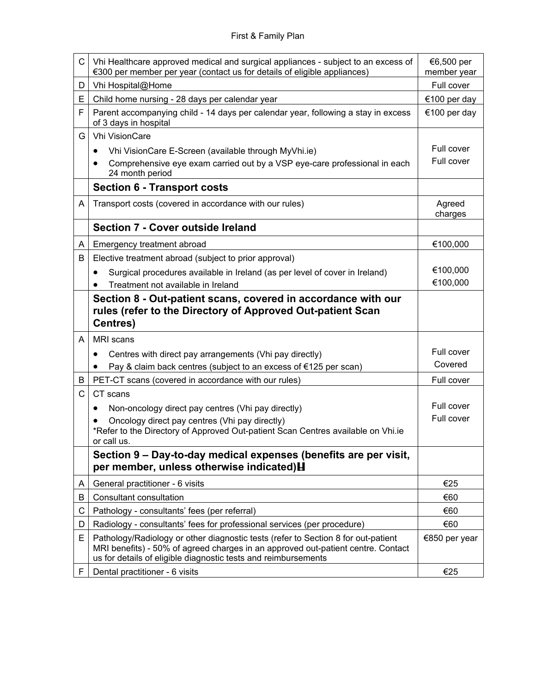| C      | Vhi Healthcare approved medical and surgical appliances - subject to an excess of<br>€300 per member per year (contact us for details of eligible appliances)                                                                           | €6,500 per<br>member year |
|--------|-----------------------------------------------------------------------------------------------------------------------------------------------------------------------------------------------------------------------------------------|---------------------------|
| D      | Vhi Hospital@Home                                                                                                                                                                                                                       | Full cover                |
| E      | Child home nursing - 28 days per calendar year                                                                                                                                                                                          | €100 per day              |
| F      | Parent accompanying child - 14 days per calendar year, following a stay in excess<br>of 3 days in hospital                                                                                                                              | €100 per day              |
| G      | <b>Vhi VisionCare</b>                                                                                                                                                                                                                   |                           |
|        | Vhi VisionCare E-Screen (available through MyVhi.ie)<br>$\bullet$                                                                                                                                                                       | Full cover                |
|        | Comprehensive eye exam carried out by a VSP eye-care professional in each<br>24 month period                                                                                                                                            | Full cover                |
|        | <b>Section 6 - Transport costs</b>                                                                                                                                                                                                      |                           |
| A      | Transport costs (covered in accordance with our rules)                                                                                                                                                                                  | Agreed<br>charges         |
|        | Section 7 - Cover outside Ireland                                                                                                                                                                                                       |                           |
| A      | Emergency treatment abroad                                                                                                                                                                                                              | €100,000                  |
| B      | Elective treatment abroad (subject to prior approval)                                                                                                                                                                                   |                           |
|        | Surgical procedures available in Ireland (as per level of cover in Ireland)<br>$\bullet$                                                                                                                                                | €100,000                  |
|        | Treatment not available in Ireland                                                                                                                                                                                                      | €100,000                  |
|        | Section 8 - Out-patient scans, covered in accordance with our<br>rules (refer to the Directory of Approved Out-patient Scan<br><b>Centres)</b>                                                                                          |                           |
| A      | MRI scans                                                                                                                                                                                                                               |                           |
|        | Centres with direct pay arrangements (Vhi pay directly)<br>$\bullet$                                                                                                                                                                    | Full cover<br>Covered     |
|        | Pay & claim back centres (subject to an excess of €125 per scan)                                                                                                                                                                        |                           |
| B<br>C | PET-CT scans (covered in accordance with our rules)<br>CT scans                                                                                                                                                                         | Full cover                |
|        |                                                                                                                                                                                                                                         | Full cover                |
|        | Non-oncology direct pay centres (Vhi pay directly)<br>$\bullet$<br>Oncology direct pay centres (Vhi pay directly)                                                                                                                       | Full cover                |
|        | *Refer to the Directory of Approved Out-patient Scan Centres available on Vhi.ie<br>or call us.                                                                                                                                         |                           |
|        | Section 9 – Day-to-day medical expenses (benefits are per visit,<br>per member, unless otherwise indicated) H                                                                                                                           |                           |
| A      | General practitioner - 6 visits                                                                                                                                                                                                         | €25                       |
| B      | Consultant consultation                                                                                                                                                                                                                 | €60                       |
| С      | Pathology - consultants' fees (per referral)                                                                                                                                                                                            | €60                       |
| D      | Radiology - consultants' fees for professional services (per procedure)                                                                                                                                                                 | €60                       |
| Е      | Pathology/Radiology or other diagnostic tests (refer to Section 8 for out-patient<br>MRI benefits) - 50% of agreed charges in an approved out-patient centre. Contact<br>us for details of eligible diagnostic tests and reimbursements | €850 per year             |
|        | Dental practitioner - 6 visits                                                                                                                                                                                                          | €25                       |